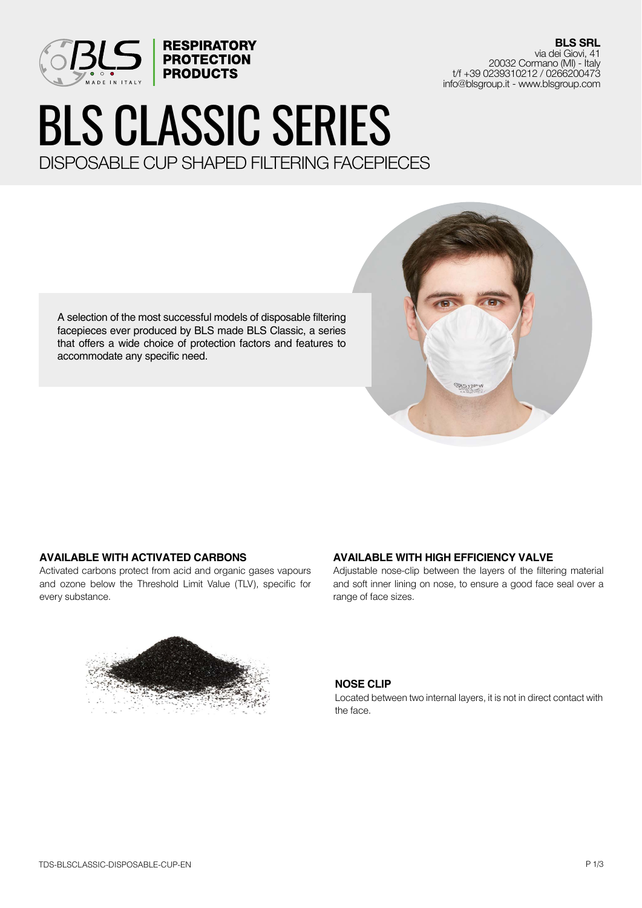

**BLS SRL** via dei Giovi, 41 20032 Cormano (MI) - Italy t/f +39 0239310212 / 0266200473 info@blsgroup.it - www.blsgroup.com

# BLS CLASSIC SERIES DISPOSABLE CUP SHAPED FILTERING FACEPIECES

A selection of the most successful models of disposable filtering facepieces ever produced by BLS made BLS Classic, a series that offers a wide choice of protection factors and features to accommodate any specific need.



Activated carbons protect from acid and organic gases vapours and ozone below the Threshold Limit Value (TLV), specific for every substance.



## **AVAILABLE WITH HIGH EFFICIENCY VALVE**

Adjustable nose-clip between the layers of the filtering material and soft inner lining on nose, to ensure a good face seal over a range of face sizes.

<u> 있습니</u>

#### **NOSE CLIP**

Located between two internal layers, it is not in direct contact with the face.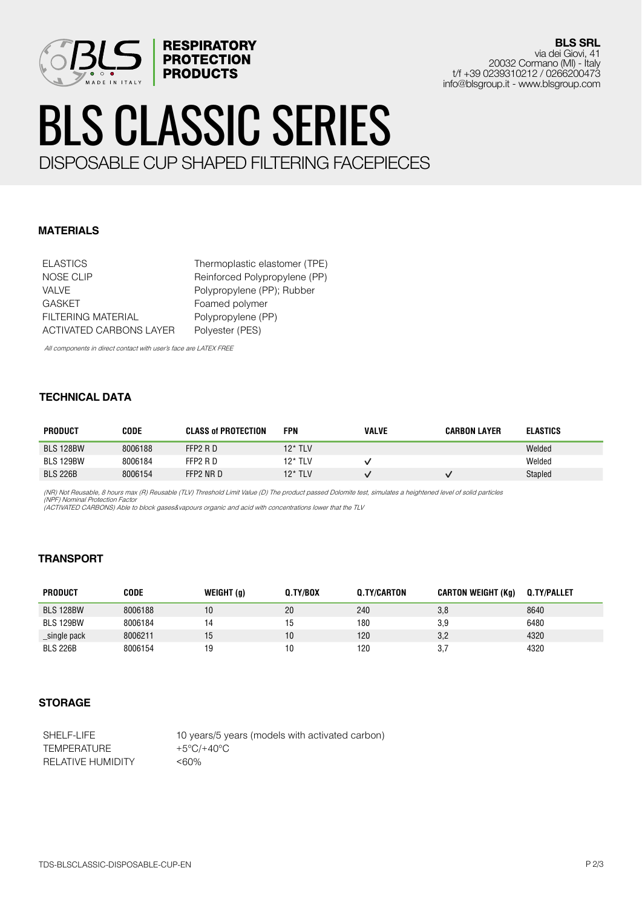

**BLS SRL** via dei Giovi, 41 20032 Cormano (MI) - Italy t/f +39 0239310212 / 0266200473 info@blsgroup.it - www.blsgroup.com

# BLS CLASSIC SERIES DISPOSABLE CUP SHAPED FILTERING FACEPIECES

**MATERIALS**

ELASTICS Thermoplastic elastomer (TPE) NOSE CLIP Reinforced Polypropylene (PP) VALVE Polypropylene (PP); Rubber GASKET Foamed polymer FILTERING MATERIAL Polypropylene (PP) ACTIVATED CARBONS LAYER Polyester (PES)

All components in direct contact with user's face are LATEX FREE

#### **TECHNICAL DATA**

| PRODUCT          | <b>CODE</b> | <b>CLASS of PROTECTION</b> | FPN        | <b>VALVE</b> | <b>CARBON LAYER</b> | <b>ELASTICS</b> |
|------------------|-------------|----------------------------|------------|--------------|---------------------|-----------------|
| <b>BLS 128BW</b> | 8006188     | FFP2 R D                   | 12* TLV    |              |                     | Welded          |
| <b>BLS 129BW</b> | 8006184     | FFP2 R D                   | 12* TLV    |              |                     | Welded          |
| <b>BLS 226B</b>  | 8006154     | FFP2 NR D                  | $12^*$ TLV |              |                     | Stapled         |

(NR) Not Reusable, 8 hours max (R) Reusable (TLV) Threshold Limit Value (D) The product passed Dolomite test, simulates a heightened level of solid particles (NPF) Nominal Protection Factor

(ACTIVATED CARBONS) Able to block gases&vapours organic and acid with concentrations lower that the TLV

## **TRANSPORT**

| <b>PRODUCT</b>   | CODE    | WEIGHT (g) | 0.TY/BOX | <b>Q.TY/CARTON</b> | <b>CARTON WEIGHT (Kg)</b> | <b>Q.TY/PALLET</b> |
|------------------|---------|------------|----------|--------------------|---------------------------|--------------------|
| <b>BLS 128BW</b> | 8006188 | 10         | 20       | 240                | 3,8                       | 8640               |
| <b>BLS 129BW</b> | 8006184 | 14         |          | 180                | 3.9                       | 6480               |
| _single pack     | 8006211 | 15         | 10       | 120                | 3,2                       | 4320               |
| <b>BLS 226B</b>  | 8006154 | 19         |          | 120                | 3.7                       | 4320               |

## **STORAGE**

SHELF-LIFE 10 years/5 years (models with activated carbon) TEMPERATURE  $+5^{\circ}C/+40^{\circ}C$ RELATIVE HUMIDITY <60%